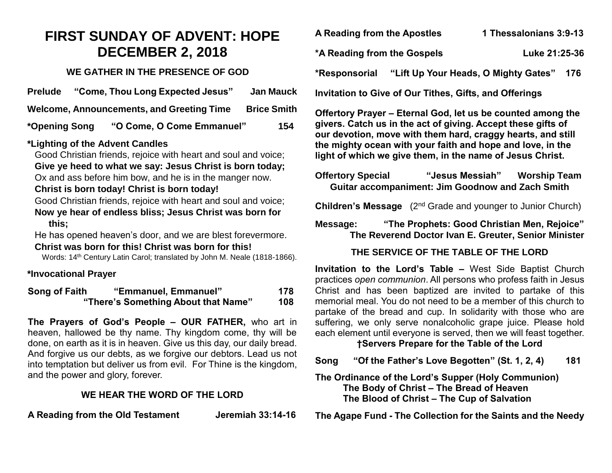# **FIRST SUNDAY OF ADVENT: HOPE DECEMBER 2, 2018**

#### **WE GATHER IN THE PRESENCE OF GOD**

| <b>Prelude</b> | "Come, Thou Long Expected Jesus"                 | <b>Jan Mauck</b>   |
|----------------|--------------------------------------------------|--------------------|
|                | <b>Welcome, Announcements, and Greeting Time</b> | <b>Brice Smith</b> |
| *Opening Song  | "O Come, O Come Emmanuel"                        | 154                |

### **\*Lighting of the Advent Candles**

Good Christian friends, rejoice with heart and soul and voice; **Give ye heed to what we say: Jesus Christ is born today;** Ox and ass before him bow, and he is in the manger now.

#### **Christ is born today! Christ is born today!**

Good Christian friends, rejoice with heart and soul and voice; **Now ye hear of endless bliss; Jesus Christ was born for this;**

He has opened heaven's door, and we are blest forevermore. **Christ was born for this! Christ was born for this!**

Words: 14<sup>th</sup> Century Latin Carol; translated by John M. Neale (1818-1866).

### **\*Invocational Prayer**

| Song of Faith                       | "Emmanuel, Emmanuel" | 178 |
|-------------------------------------|----------------------|-----|
| "There's Something About that Name" |                      | 108 |

**The Prayers of God's People – OUR FATHER,** who art in heaven, hallowed be thy name. Thy kingdom come, thy will be done, on earth as it is in heaven. Give us this day, our daily bread. And forgive us our debts, as we forgive our debtors. Lead us not into temptation but deliver us from evil. For Thine is the kingdom, and the power and glory, forever.

# **WE HEAR THE WORD OF THE LORD**

**A Reading from the Old Testament Jeremiah 33:14-16**

| <b>A Reading from the Apostles</b> | 1 Thessalonians 3:9-13 |  |
|------------------------------------|------------------------|--|
|------------------------------------|------------------------|--|

**\*A Reading from the Gospels Luke 21:25-36**

**\*Responsorial "Lift Up Your Heads, O Mighty Gates" 176**

**Invitation to Give of Our Tithes, Gifts, and Offerings**

**Offertory Prayer – Eternal God, let us be counted among the givers. Catch us in the act of giving. Accept these gifts of our devotion, move with them hard, craggy hearts, and still the mighty ocean with your faith and hope and love, in the light of which we give them, in the name of Jesus Christ.** 

**Offertory Special "Jesus Messiah" Worship Team Guitar accompaniment: Jim Goodnow and Zach Smith** 

**Children's Message** (2<sup>nd</sup> Grade and younger to Junior Church)

**Message: "The Prophets: Good Christian Men, Rejoice" The Reverend Doctor Ivan E. Greuter, Senior Minister**

# **THE SERVICE OF THE TABLE OF THE LORD**

**Invitation to the Lord's Table –** West Side Baptist Church practices *open communion*. All persons who profess faith in Jesus Christ and has been baptized are invited to partake of this memorial meal. You do not need to be a member of this church to partake of the bread and cup. In solidarity with those who are suffering, we only serve nonalcoholic grape juice. Please hold each element until everyone is served, then we will feast together.

### **†Servers Prepare for the Table of the Lord**

**Song "Of the Father's Love Begotten" (St. 1, 2, 4) 181**

#### **The Ordinance of the Lord's Supper (Holy Communion) The Body of Christ – The Bread of Heaven The Blood of Christ – The Cup of Salvation**

**The Agape Fund - The Collection for the Saints and the Needy**